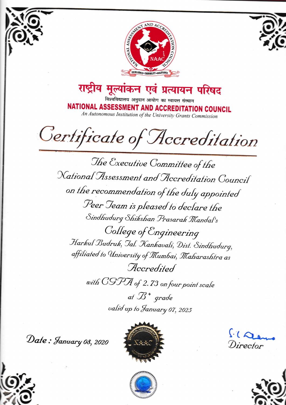



राष्ट्रीय मूल्यांकन एवं प्रत्यायन परिषद विश्वविद्यालय अनुदान आयोग का स्वायत्त संस्थान

NATIONAL ASSESSMENT AND ACCREDITATION COUNCIL An Autonomous Institution of the University Grants Commission

Certificate of Accreditation

The Executive Committee of the National Assessment and Accreditation Council on the recommendation of the duly appointed Peer Jeam is pleased to declare the Sindhudurg Shikshan Prasarak Mandal's College of Engineering Harkul Budruk, Jal. Kankavali, Dist. Sindhudurg, affiliated to University of Mumbai, Maharashtra as Accredited

with CGPA of 2.73 on four point scale

at  $\mathcal{B}^+$  grade valid up to January 07, 2025

Date: January 08, 2020



 $610$ Director